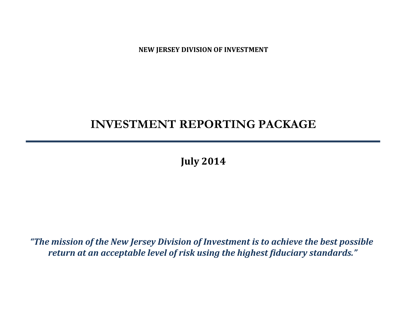**NEW JERSEY DIVISION OF INVESTMENT**

# **INVESTMENT REPORTING PACKAGE**

**July 2014**

*"The mission of the New Jersey Division of Investment is to achieve the best possible return at an acceptable level of risk using the highest fiduciary standards."*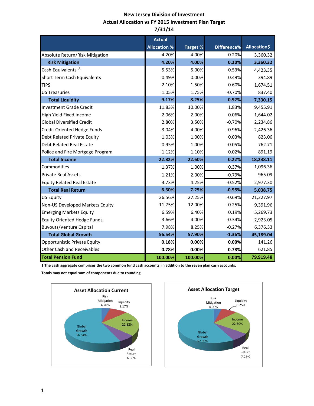## **New Jersey Division of Investment Actual Allocation vs FY 2015 Investment Plan Target 7/31/14**

|                                    | <b>Actual</b>       |                 |             |                     |
|------------------------------------|---------------------|-----------------|-------------|---------------------|
|                                    | <b>Allocation %</b> | <b>Target %</b> | Difference% | <b>Allocation\$</b> |
| Absolute Return/Risk Mitigation    | 4.20%               | 4.00%           | 0.20%       | 3,360.32            |
| <b>Risk Mitigation</b>             | 4.20%               | 4.00%           | 0.20%       | 3,360.32            |
| Cash Equivalents <sup>(1)</sup>    | 5.53%               | 5.00%           | 0.53%       | 4,423.35            |
| Short Term Cash Equivalents        | 0.49%               | 0.00%           | 0.49%       | 394.89              |
| <b>TIPS</b>                        | 2.10%               | 1.50%           | 0.60%       | 1,674.51            |
| <b>US Treasuries</b>               | 1.05%               | 1.75%           | $-0.70%$    | 837.40              |
| <b>Total Liquidity</b>             | 9.17%               | 8.25%           | 0.92%       | 7,330.15            |
| <b>Investment Grade Credit</b>     | 11.83%              | 10.00%          | 1.83%       | 9,455.91            |
| High Yield Fixed Income            | 2.06%               | 2.00%           | 0.06%       | 1,644.02            |
| <b>Global Diversified Credit</b>   | 2.80%               | 3.50%           | $-0.70%$    | 2,234.86            |
| Credit Oriented Hedge Funds        | 3.04%               | 4.00%           | $-0.96%$    | 2,426.36            |
| Debt Related Private Equity        | 1.03%               | 1.00%           | 0.03%       | 823.06              |
| <b>Debt Related Real Estate</b>    | 0.95%               | 1.00%           | $-0.05%$    | 762.71              |
| Police and Fire Mortgage Program   | 1.12%               | 1.10%           | 0.02%       | 891.19              |
| <b>Total Income</b>                | 22.82%              | 22.60%          | 0.22%       | 18,238.11           |
| Commodities                        | 1.37%               | 1.00%           | 0.37%       | 1,096.36            |
| <b>Private Real Assets</b>         | 1.21%               | 2.00%           | $-0.79%$    | 965.09              |
| <b>Equity Related Real Estate</b>  | 3.73%               | 4.25%           | $-0.52%$    | 2,977.30            |
| <b>Total Real Return</b>           | 6.30%               | 7.25%           | $-0.95%$    | 5,038.75            |
| <b>US Equity</b>                   | 26.56%              | 27.25%          | $-0.69%$    | 21,227.97           |
| Non-US Developed Markets Equity    | 11.75%              | 12.00%          | $-0.25%$    | 9,391.96            |
| <b>Emerging Markets Equity</b>     | 6.59%               | 6.40%           | 0.19%       | 5,269.73            |
| <b>Equity Oriented Hedge Funds</b> | 3.66%               | 4.00%           | $-0.34%$    | 2,923.05            |
| <b>Buyouts/Venture Capital</b>     | 7.98%               | 8.25%           | $-0.27%$    | 6,376.33            |
| <b>Total Global Growth</b>         | 56.54%              | 57.90%          | $-1.36%$    | 45,189.04           |
| Opportunistic Private Equity       | 0.18%               | 0.00%           | 0.00%       | 141.26              |
| <b>Other Cash and Receivables</b>  | 0.78%               | 0.00%           | 0.78%       | 621.85              |
| <b>Total Pension Fund</b>          | 100.00%             | 100.00%         | 0.00%       | 79,919.48           |

**1 The cash aggregate comprises the two common fund cash accounts, in addition to the seven plan cash accounts.** 

**Totals may not equal sum of components due to rounding.**



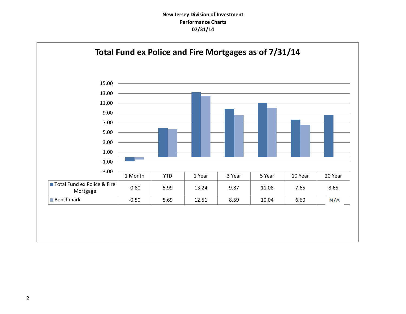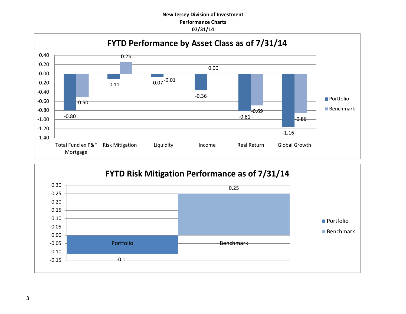

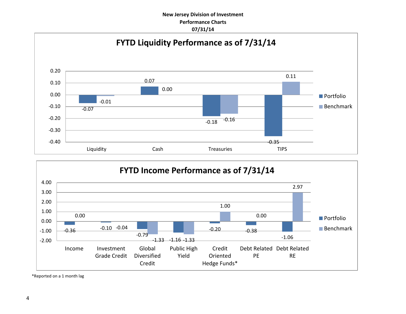



\*Reported on a 1 month lag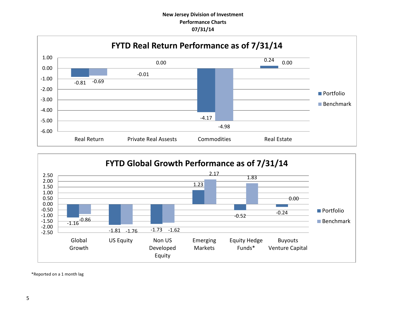



\*Reported on a 1 month lag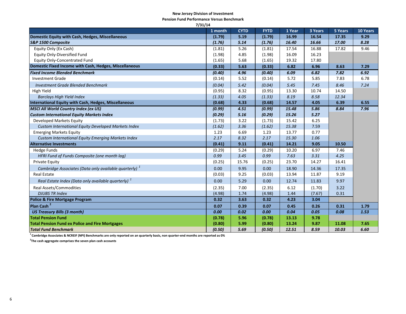#### **New Jersey Division of Investment**

**Pension Fund Performance Versus Benchmark**

| 7/31/14                                                           |         |             |             |        |         |         |          |
|-------------------------------------------------------------------|---------|-------------|-------------|--------|---------|---------|----------|
|                                                                   | 1 month | <b>CYTD</b> | <b>FYTD</b> | 1 Year | 3 Years | 5 Years | 10 Years |
| Domestic Equity with Cash, Hedges, Miscellaneous                  | (1.79)  | 5.19        | (1.79)      | 16.99  | 16.54   | 17.35   | 9.29     |
| S&P 1500 Composite                                                | (1.76)  | 5.14        | (1.76)      | 16.40  | 16.66   | 17.00   | 8.28     |
| Equity Only (Ex Cash)                                             | (1.81)  | 5.26        | (1.81)      | 17.54  | 16.88   | 17.82   | 9.46     |
| Equity Only-Diversified Fund                                      | (1.98)  | 4.85        | (1.98)      | 16.09  | 16.23   |         |          |
| <b>Equity Only-Concentrated Fund</b>                              | (1.65)  | 5.68        | (1.65)      | 19.32  | 17.80   |         |          |
| Domestic Fixed Income with Cash, Hedges, Miscellaneous            | (0.33)  | 5.63        | (0.33)      | 6.82   | 6.96    | 8.63    | 7.29     |
| <b>Fixed Income Blended Benchmark</b>                             | (0.40)  | 4.96        | (0.40)      | 6.09   | 6.82    | 7.82    | 6.92     |
| <b>Investment Grade</b>                                           | (0.14)  | 5.52        | (0.14)      | 5.72   | 5.85    | 7.83    | 6.78     |
| <b>Investment Grade Blended Benchmark</b>                         | (0.04)  | 5.42        | (0.04)      | 5.45   | 7.45    | 8.46    | 7.24     |
| High Yield                                                        | (0.95)  | 8.32        | (0.95)      | 13.30  | 10.74   | 14.50   |          |
| <b>Barclays High Yield Index</b>                                  | (1.33)  | 4.05        | (1.33)      | 8.19   | 8.58    | 12.34   |          |
| International Equity with Cash, Hedges, Miscellaneous             | (0.68)  | 4.33        | (0.68)      | 14.57  | 4.05    | 6.39    | 6.55     |
| <b>MSCI All World Country Index (ex US)</b>                       | (0.99)  | 4.51        | (0.99)      | 15.48  | 5.86    | 8.84    | 7.96     |
| <b>Custom International Equity Markets Index</b>                  | (0.29)  | 5.16        | (0.29)      | 15.26  | 5.27    |         |          |
| Developed Markets Equity                                          | (1.73)  | 3.22        | (1.73)      | 15.42  | 6.25    |         |          |
| Custom International Equity Developed Markets Index               | (1.62)  | 3.36        | (1.62)      | 15.38  | 7.59    |         |          |
| <b>Emerging Markets Equity</b>                                    | 1.23    | 6.69        | 1.23        | 13.77  | 0.77    |         |          |
| Custom International Equity Emerging Markets Index                | 2.17    | 8.32        | 2.17        | 15.30  | 1.06    |         |          |
| <b>Alternative Investments</b>                                    | (0.41)  | 9.11        | (0.41)      | 14.21  | 9.05    | 10.50   |          |
| <b>Hedge Funds</b>                                                | (0.29)  | 5.24        | (0.29)      | 10.20  | 6.97    | 7.46    |          |
| HFRI Fund of Funds Composite (one month lag)                      | 0.99    | 3.45        | 0.99        | 7.63   | 3.31    | 4.25    |          |
| <b>Private Equity</b>                                             | (0.25)  | 15.76       | (0.25)      | 23.70  | 14.27   | 16.41   |          |
| Cambridge Associates (Data only available quarterly) <sup>1</sup> | 0.00    | 9.95        | 0.00        | 18.90  | 14.36   | 17.35   |          |
| <b>Real Estate</b>                                                | (0.03)  | 9.25        | (0.03)      | 13.94  | 11.87   | 9.19    |          |
| Real Estate Index (Data only available quarterly) <sup>1</sup>    | 0.00    | 5.29        | 0.00        | 12.74  | 11.83   | 9.97    |          |
| <b>Real Assets/Commodities</b>                                    | (2.35)  | 7.00        | (2.35)      | 6.12   | (1.70)  | 3.22    |          |
| <b>DJUBS TR Index</b>                                             | (4.98)  | 1.74        | (4.98)      | 1.44   | (7.67)  | 0.31    |          |
| <b>Police &amp; Fire Mortgage Program</b>                         | 0.32    | 3.63        | 0.32        | 4.23   | 3.04    |         |          |
| Plan Cash <sup>2</sup>                                            | 0.07    | 0.39        | 0.07        | 0.45   | 0.26    | 0.31    | 1.79     |
| <b>US Treasury Bills (3 month)</b>                                | 0.00    | 0.02        | 0.00        | 0.04   | 0.05    | 0.08    | 1.53     |
| <b>Total Pension Fund</b>                                         | (0.78)  | 5.96        | (0.78)      | 13.13  | 9.78    |         |          |
| <b>Total Pension Fund ex Police and Fire Mortgages</b>            | (0.80)  | 5.99        | (0.80)      | 13.24  | 9.87    | 11.08   | 7.65     |
| <b>Total Fund Benchmark</b>                                       | (0.50)  | 5.69        | (0.50)      | 12.51  | 8.59    | 10.03   | 6.60     |

**1 Cambridge Associates & NCREIF (NPI) Benchmarks are only reported on an quarterly basis, non quarter-end months are reported as 0%**

**2 The cash aggregate comprises the seven plan cash accounts**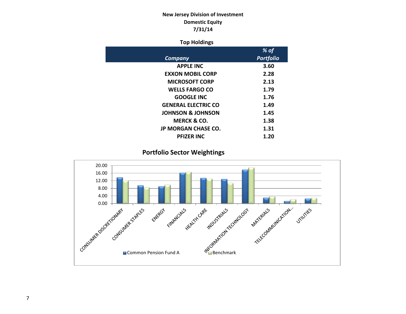# **New Jersey Division of Investment Domestic Equity 7/31/14**

## **Top Holdings**

|                              | % of             |
|------------------------------|------------------|
| Company                      | <b>Portfolio</b> |
| <b>APPLE INC</b>             | 3.60             |
| <b>EXXON MOBIL CORP</b>      | 2.28             |
| <b>MICROSOFT CORP</b>        | 2.13             |
| <b>WELLS FARGO CO</b>        | 1.79             |
| <b>GOOGLE INC</b>            | 1.76             |
| <b>GENERAL ELECTRIC CO</b>   | 1.49             |
| <b>JOHNSON &amp; JOHNSON</b> | 1.45             |
| <b>MERCK &amp; CO.</b>       | 1.38             |
| <b>JP MORGAN CHASE CO.</b>   | 1.31             |
| <b>PFIZER INC</b>            | 1.20             |

**Portfolio Sector Weightings**

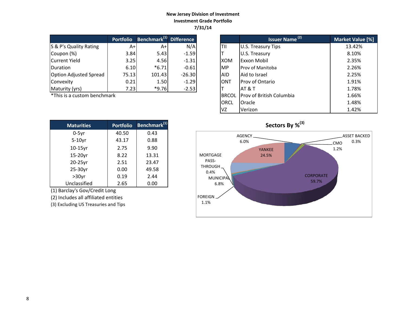## **New Jersey Division of Investment Investment Grade Portfolio 7/31/14**

|                               | <b>Portfolio</b> | Benchmark <sup>(1)</sup> Difference |          |             | Issuer Name <sup>(2)</sup> | <b>Market Valu</b> |
|-------------------------------|------------------|-------------------------------------|----------|-------------|----------------------------|--------------------|
| S & P's Quality Rating        | A+l              | A+                                  | N/A      | TII         | U.S. Treasury Tips         | 13.42%             |
| Coupon (%)                    | 3.84             | 5.43                                | $-1.59$  |             | U.S. Treasury              | 8.10%              |
| Current Yield                 | 3.25             | 4.56                                | $-1.31$  | <b>IXOM</b> | <b>Exxon Mobil</b>         | 2.35%              |
| <b>Duration</b>               | 6.10             | $*6.71$                             | $-0.61$  | <b>MP</b>   | <b>Prov of Manitoba</b>    | 2.26%              |
| <b>Option Adjusted Spread</b> | 75.13            | 101.43                              | $-26.30$ | <b>AID</b>  | Aid to Israel              | 2.25%              |
| Convexity                     | 0.21             | 1.50                                | $-1.29$  | <b>ONT</b>  | Prov of Ontario            | 1.91%              |
| Maturity (yrs)                | 7.23             | $*9.76$                             | $-2.53$  |             | <b>AT &amp; T</b>          | 1.78%              |

 $*$ This is a custom benchmark

| <b>Maturities</b> | <b>Portfolio</b> | Benchmark <sup>(1)</sup> |
|-------------------|------------------|--------------------------|
| $0-5yr$           | 40.50            | 0.43                     |
| $5-10$ yr         | 43.17            | 0.88                     |
| $10-15$ yr        | 2.75             | 9.90                     |
| 15-20yr           | 8.22             | 13.31                    |
| 20-25yr           | 2.51             | 23.47                    |
| 25-30yr           | 0.00             | 49.58                    |
| $>30$ yr          | 0.19             | 2.44                     |
| Unclassified      | 2.65             | 0.00                     |

(1) Barclay's Gov/Credit Long

(2) Includes all affiliated entities

(3) Excluding US Treasuries and Tips

| <b>Portfolio</b> | Benchmark <sup>(1)</sup> Difference |          |              | <b>Issuer Name (2)</b>   | Market Value [%] |
|------------------|-------------------------------------|----------|--------------|--------------------------|------------------|
| $A+$             | $A+$                                | N/A      | TII          | U.S. Treasury Tips       | 13.42%           |
| 3.84             | 5.43                                | $-1.59$  |              | U.S. Treasury            | 8.10%            |
| 3.25             | 4.56                                | $-1.31$  | <b>XOM</b>   | Exxon Mobil              | 2.35%            |
| 6.10             | $*6.71$                             | $-0.61$  | <b>MP</b>    | Prov of Manitoba         | 2.26%            |
| 75.13            | 101.43                              | $-26.30$ | <b>AID</b>   | Aid to Israel            | 2.25%            |
| 0.21             | 1.50                                | $-1.29$  | <b>ONT</b>   | <b>Prov of Ontario</b>   | 1.91%            |
| 7.23             | $*9.76$                             | $-2.53$  |              | AT & T                   | 1.78%            |
| ۰k               |                                     |          | <b>BRCOL</b> | Prov of British Columbia | 1.66%            |
|                  |                                     |          | <b>ORCL</b>  | Oracle                   | 1.48%            |
|                  |                                     |          | VZ           | Verizon                  | 1.42%            |

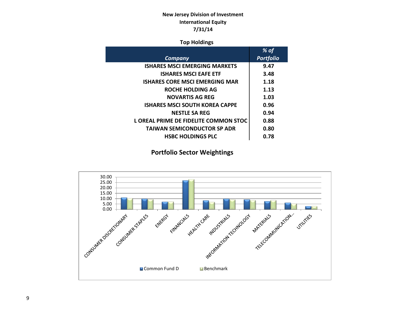# **New Jersey Division of Investment International Equity 7/31/14**

## **Top Holdings**

|                                       | % of             |
|---------------------------------------|------------------|
| <b>Company</b>                        | <b>Portfolio</b> |
| <b>ISHARES MSCI EMERGING MARKETS</b>  | 9.47             |
| <b>ISHARES MSCI EAFE ETF</b>          | 3.48             |
| ISHARES CORE MSCI EMERGING MAR        | 1.18             |
| ROCHE HOLDING AG                      | 1.13             |
| <b>NOVARTIS AG REG</b>                | 1.03             |
| <b>ISHARES MSCI SOUTH KOREA CAPPE</b> | 0.96             |
| <b>NESTLE SA REG</b>                  | 0.94             |
| L OREAL PRIME DE FIDELITE COMMON STOC | 0.88             |
| <b>TAIWAN SEMICONDUCTOR SP ADR</b>    | 0.80             |
| <b>HSBC HOLDINGS PLC</b>              | 0.78             |
|                                       |                  |

# **Portfolio Sector Weightings**

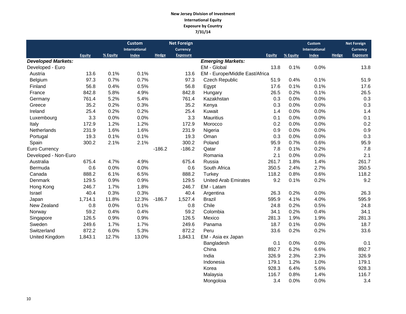#### **New Jersey Division of Investment International Equity Exposure by Country 7/31/14**

|                           |               |          | <b>Custom</b><br>International |          | <b>Net Foreign</b><br><b>Currency</b> |                                |               |          | <b>Custom</b><br><b>International</b> |       | <b>Net Foreign</b><br>Currency |
|---------------------------|---------------|----------|--------------------------------|----------|---------------------------------------|--------------------------------|---------------|----------|---------------------------------------|-------|--------------------------------|
|                           | <b>Equity</b> | % Equity | <b>Index</b>                   | Hedge    | <b>Exposure</b>                       |                                | <b>Equity</b> | % Equity | <b>Index</b>                          | Hedge | <b>Exposure</b>                |
| <b>Developed Markets:</b> |               |          |                                |          |                                       | <b>Emerging Markets:</b>       |               |          |                                       |       |                                |
| Developed - Euro          |               |          |                                |          |                                       | EM - Global                    | 13.8          | 0.1%     | 0.0%                                  |       | 13.8                           |
| Austria                   | 13.6          | 0.1%     | 0.1%                           |          | 13.6                                  | EM - Europe/Middle East/Africa |               |          |                                       |       |                                |
| Belgium                   | 97.3          | 0.7%     | 0.7%                           |          | 97.3                                  | Czech Republic                 | 51.9          | 0.4%     | 0.1%                                  |       | 51.9                           |
| Finland                   | 56.8          | 0.4%     | 0.5%                           |          | 56.8                                  | Egypt                          | 17.6          | 0.1%     | 0.1%                                  |       | 17.6                           |
| France                    | 842.8         | 5.8%     | 4.9%                           |          | 842.8                                 | Hungary                        | 26.5          | 0.2%     | 0.1%                                  |       | 26.5                           |
| Germany                   | 761.4         | 5.2%     | 5.4%                           |          | 761.4                                 | Kazakhstan                     | 0.3           | 0.0%     | 0.0%                                  |       | 0.3                            |
| Greece                    | 35.2          | 0.2%     | 0.3%                           |          | 35.2                                  | Kenya                          | 0.3           | 0.0%     | 0.0%                                  |       | 0.3                            |
| Ireland                   | 25.4          | 0.2%     | 0.2%                           |          | 25.4                                  | Kuwait                         | 1.4           | 0.0%     | 0.0%                                  |       | 1.4                            |
| Luxembourg                | 3.3           | 0.0%     | 0.0%                           |          | 3.3                                   | <b>Mauritius</b>               | 0.1           | 0.0%     | 0.0%                                  |       | 0.1                            |
| Italy                     | 172.9         | 1.2%     | 1.2%                           |          | 172.9                                 | Morocco                        | 0.2           | 0.0%     | 0.0%                                  |       | 0.2                            |
| Netherlands               | 231.9         | 1.6%     | 1.6%                           |          | 231.9                                 | Nigeria                        | 0.9           | 0.0%     | 0.0%                                  |       | 0.9                            |
| Portugal                  | 19.3          | 0.1%     | 0.1%                           |          | 19.3                                  | Oman                           | 0.3           | 0.0%     | 0.0%                                  |       | 0.3                            |
| Spain                     | 300.2         | 2.1%     | 2.1%                           |          | 300.2                                 | Poland                         | 95.9          | 0.7%     | 0.6%                                  |       | 95.9                           |
| <b>Euro Currency</b>      |               |          |                                | $-186.2$ | $-186.2$                              | Qatar                          | 7.8           | 0.1%     | 0.2%                                  |       | 7.8                            |
| Developed - Non-Euro      |               |          |                                |          |                                       | Romania                        | 2.1           | 0.0%     | 0.0%                                  |       | 2.1                            |
| Australia                 | 675.4         | 4.7%     | 4.9%                           |          | 675.4                                 | Russia                         | 261.7         | 1.8%     | 1.4%                                  |       | 261.7                          |
| Bermuda                   | 0.6           | 0.0%     | 0.0%                           |          | 0.6                                   | South Africa                   | 350.5         | 2.4%     | 2.7%                                  |       | 350.5                          |
| Canada                    | 888.2         | 6.1%     | 6.5%                           |          | 888.2                                 | Turkey                         | 118.2         | 0.8%     | 0.6%                                  |       | 118.2                          |
| Denmark                   | 129.5         | 0.9%     | 0.9%                           |          | 129.5                                 | <b>United Arab Emirates</b>    | 9.2           | 0.1%     | 0.2%                                  |       | 9.2                            |
| Hong Kong                 | 246.7         | 1.7%     | 1.8%                           |          | 246.7                                 | EM - Latam                     |               |          |                                       |       |                                |
| Israel                    | 40.4          | 0.3%     | 0.3%                           |          | 40.4                                  | Argentina                      | 26.3          | 0.2%     | 0.0%                                  |       | 26.3                           |
| Japan                     | 1,714.1       | 11.8%    | 12.3%                          | $-186.7$ | 1,527.4                               | <b>Brazil</b>                  | 595.9         | 4.1%     | 4.0%                                  |       | 595.9                          |
| New Zealand               | 0.8           | 0.0%     | 0.1%                           |          | 0.8                                   | Chile                          | 24.8          | 0.2%     | 0.5%                                  |       | 24.8                           |
| Norway                    | 59.2          | 0.4%     | 0.4%                           |          | 59.2                                  | Colombia                       | 34.1          | 0.2%     | 0.4%                                  |       | 34.1                           |
| Singapore                 | 126.5         | 0.9%     | 0.9%                           |          | 126.5                                 | Mexico                         | 281.3         | 1.9%     | 1.9%                                  |       | 281.3                          |
| Sweden                    | 249.6         | 1.7%     | 1.7%                           |          | 249.6                                 | Panama                         | 18.7          | 0.1%     | 0.0%                                  |       | 18.7                           |
| Switzerland               | 872.2         | 6.0%     | 5.3%                           |          | 872.2                                 | Peru                           | 33.6          | 0.2%     | 0.2%                                  |       | 33.6                           |
| United Kingdom            | 1,843.1       | 12.7%    | 13.0%                          |          | 1,843.1                               | EM - Asia ex Japan             |               |          |                                       |       |                                |
|                           |               |          |                                |          |                                       | Bangladesh                     | 0.1           | 0.0%     | 0.0%                                  |       | 0.1                            |
|                           |               |          |                                |          |                                       | China                          | 892.7         | 6.2%     | 6.6%                                  |       | 892.7                          |
|                           |               |          |                                |          |                                       | India                          | 326.9         | 2.3%     | 2.3%                                  |       | 326.9                          |
|                           |               |          |                                |          |                                       | Indonesia                      | 179.1         | 1.2%     | 1.0%                                  |       | 179.1                          |
|                           |               |          |                                |          |                                       | Korea                          | 928.3         | 6.4%     | 5.6%                                  |       | 928.3                          |
|                           |               |          |                                |          |                                       | Malaysia                       | 116.7         | 0.8%     | 1.4%                                  |       | 116.7                          |
|                           |               |          |                                |          |                                       | Mongoloia                      | 3.4           | 0.0%     | 0.0%                                  |       | 3.4                            |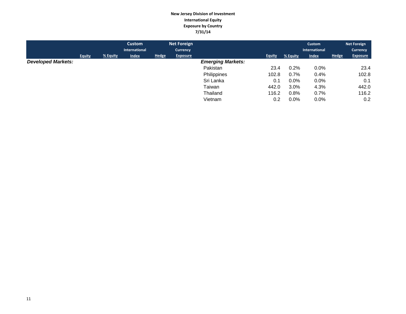#### **New Jersey Division of Investment International Equity Exposure by Country 7/31/14**

|                           |               |          | Custom<br>International |              | <b>Net Foreign</b><br><b>Currency</b> |                          |               |          | Custom<br>International |              | <b>Net Foreign</b><br><b>Currency</b> |
|---------------------------|---------------|----------|-------------------------|--------------|---------------------------------------|--------------------------|---------------|----------|-------------------------|--------------|---------------------------------------|
|                           | <b>Equity</b> | % Equity | <b>Index</b>            | <b>Hedge</b> | <b>Exposure</b>                       |                          | <b>Equity</b> | % Equity | <b>Index</b>            | <b>Hedge</b> | <b>Exposure</b>                       |
| <b>Developed Markets:</b> |               |          |                         |              |                                       | <b>Emerging Markets:</b> |               |          |                         |              |                                       |
|                           |               |          |                         |              |                                       | Pakistan                 | 23.4          | 0.2%     | 0.0%                    |              | 23.4                                  |
|                           |               |          |                         |              |                                       | Philippines              | 102.8         | 0.7%     | 0.4%                    |              | 102.8                                 |
|                           |               |          |                         |              |                                       | Sri Lanka                | 0.1           | $0.0\%$  | $0.0\%$                 |              | 0.1                                   |
|                           |               |          |                         |              |                                       | Taiwan                   | 442.0         | 3.0%     | 4.3%                    |              | 442.0                                 |
|                           |               |          |                         |              |                                       | Thailand                 | 116.2         | 0.8%     | 0.7%                    |              | 116.2                                 |
|                           |               |          |                         |              |                                       | Vietnam                  | 0.2           | $0.0\%$  | 0.0%                    |              | 0.2                                   |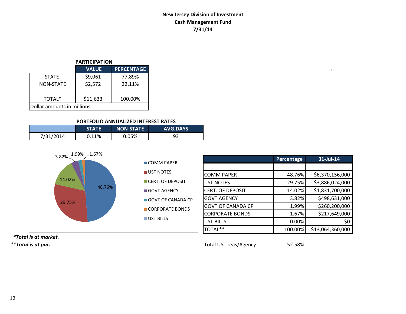# **New Jersey Division of Investment Cash Management Fund 7/31/14**

#### **PARTICIPATION**

|                            | <b>VALUE</b> | <b>PERCENTAGE</b> |  |  |  |  |
|----------------------------|--------------|-------------------|--|--|--|--|
| <b>STATF</b>               | \$9,061      | 77.89%            |  |  |  |  |
| <b>NON-STATE</b>           | \$2,572      | 22.11%            |  |  |  |  |
| TOTAL*                     | \$11,633     | 100.00%           |  |  |  |  |
| Dollar amounts in millions |              |                   |  |  |  |  |

#### **PORTFOLIO ANNUALIZED INTEREST RATES**

|           | <b>STATE</b> | <b>NON-STATE</b> | <b>AVG.DAYS</b> |
|-----------|--------------|------------------|-----------------|
| 7/31/2014 | 0.11%        | 0.05%            | 93              |



|                          | <b>Percentage</b> | 31-Jul-14        |
|--------------------------|-------------------|------------------|
|                          |                   |                  |
| <b>COMM PAPER</b>        | 48.76%            | \$6,370,156,000  |
| <b>UST NOTES</b>         | 29.75%            | \$3,886,024,000  |
| CERT. OF DEPOSIT         | 14.02%            | \$1,831,700,000  |
| <b>GOVT AGENCY</b>       | 3.82%             | \$498,631,000    |
| <b>GOVT OF CANADA CP</b> | 1.99%             | \$260,200,000    |
| <b>CORPORATE BONDS</b>   | 1.67%             | \$217,649,000    |
| <b>UST BILLS</b>         | 0.00%             | S0               |
| TOTAL**                  | 100.00%           | \$13,064,360,000 |

 *\*Total is at market. \*\*Total is at par.* Total US Treas/Agency 52.58%

 $\Box$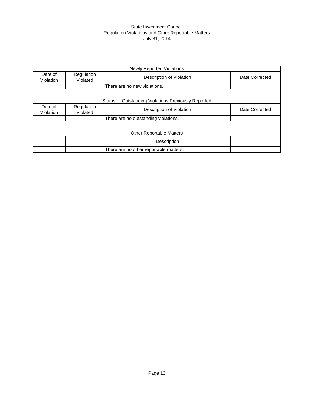#### State Investment Council Regulation Violations and Other Reportable Matters July 31, 2014

|                      |                        | <b>Newly Reported Violations</b>                            |                |
|----------------------|------------------------|-------------------------------------------------------------|----------------|
| Date of<br>Violation | Regulation<br>Violated | Description of Violation                                    | Date Corrected |
|                      |                        | There are no new violations.                                |                |
|                      |                        |                                                             |                |
|                      |                        | <b>Status of Outstanding Violations Previously Reported</b> |                |
| Date of<br>Violation | Regulation<br>Violated | Description of Violation                                    | Date Corrected |
|                      |                        | There are no outstanding violations.                        |                |
|                      |                        |                                                             |                |
|                      |                        | <b>Other Reportable Matters</b>                             |                |
|                      |                        | Description                                                 |                |
|                      |                        | There are no other reportable matters.                      |                |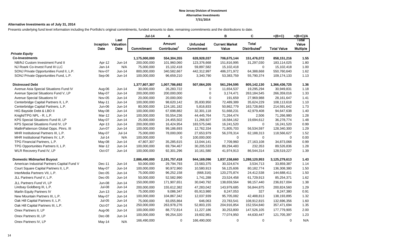#### **Alternative Investments as of July 31, 2014**

Presents underlying fund level information including the Portfolio's original commitments, funded amounts to date, remaining commitments and the distributions to date.

|                                             |               |                                    | <b>Jul-14</b> | Α                        |                 | в                     | C                        | $=(B+C)$           | $=(B+C)/A$      |
|---------------------------------------------|---------------|------------------------------------|---------------|--------------------------|-----------------|-----------------------|--------------------------|--------------------|-----------------|
|                                             |               | Last<br><b>Inception Valuation</b> |               | <b>Amount</b>            | <b>Unfunded</b> | <b>Current Market</b> | <b>Total</b>             |                    | Total<br>Value  |
|                                             | Date          | Date                               | Commitment    | Contributed <sup>1</sup> | Commitment      | Value                 | Distributed <sup>2</sup> | <b>Total Value</b> | <b>Multiple</b> |
| <b>Private Equity</b>                       |               |                                    |               |                          |                 |                       |                          |                    |                 |
| <b>Co-Investments</b>                       |               |                                    | 1,175,000,000 | 554,304,355              | 628,928,037     | 706,675,144           | 151,476,072              | 858,151,216        | 1.55            |
| NB/NJ Custom Investment Fund II             | Apr-12        | Jun-14                             | 200,000,000   | 101,960,060              | 123,376,668     | 151,816,995           | 31,297,030               | 183,114,025        | 1.80            |
| NJ Roark Co-Invest Fund III LLC             | $Jan-14$      | N/A                                | 75,000,000    | 15,102,418               | 59,897,582      | 15,102,418            | $\mathbf{0}$             | 15,102,418         | 1.00            |
| SONJ Private Opportunities Fund II, L.P.    | Nov-07        | Jun-14                             | 800,000,000   | 340,582,667              | 442,312,997     | 486,371,972           | 64,388,668               | 550,760,640        | 1.62            |
| SONJ Private Opportunities Fund, L.P.       | Sep-06        | Jun-14                             | 100,000,000   | 96,659,210               | 3,340,790       | 53,383,759            | 55,790,374               | 109,174,133        | 1.13            |
| <b>Distressed Debt</b>                      |               |                                    | 1,377,807,307 | 1,007,786,692            | 507,064,205     | 561,294,595           | 805,142,130              | 1,366,436,725      | 1.36            |
| Avenue Asia Special Situations Fund IV      | Aug-06        | Jun-14                             | 30,000,000    | 26,283,722               | $\mathbf 0$     | 11,654,537            | 19,295,294               | 30,949,831         | 1.18            |
| Avenue Special Situations Fund V, LP        | May-07        | Jun-14                             | 200,000,000   | 200,000,000              | $\Omega$        | 3,174,471             | 263,184,545              | 266,359,016        | 1.33            |
| Avenue Special Situations IV                | Nov-05        | Jun-14                             | 20,000,000    | 20,000,000               | $\Omega$        | 191,659               | 27,969,988               | 28, 161, 647       | 1.41            |
| Centerbridge Capital Partners II, L.P.      | May-11        | Jun-14                             | 100,000,000   | 98,620,142               | 35,830,950      | 72,489,389            | 35,624,229               | 108,113,618        | 1.10            |
| Centerbridge Capital Partners, L.P.         | Jun-06        | $Jun-14$                           | 80,000,000    | 124,181,182              | 5,816,833       | 50,862,779            | 163,728,863              | 214,591,642        | 1.73            |
| HIG Bayside Debt & LBO II                   | May-08        | Jun-14                             | 100,000,000   | 67,698,882               | 32,301,118      | 51,668,231            | 42,979,408               | 94,647,638         | 1.40            |
| Knight/TPG NPL - R, L.P.                    | Mar-12        | Jun-14                             | 100,000,000   | 55,554,236               | 44,445,764      | 71,264,474            | 2,506                    | 71,266,980         | 1.28            |
| KPS Special Situations Fund III, LP         | May-07        | Jun-14                             | 25,000,000    | 24,455,502               | 11,266,927      | 16,584,162            | 19,694,612               | 36,278,774         | 1.48            |
| KPS Special Situations Fund IV, LP          | Apr-13        | Jun-14                             | 200,000,000   | 16,424,954               | 183,575,046     | 16,241,520            | $\mathbf 0$              | 16,241,520         | 0.99            |
| MatlinPatterson Global Opps. Ptnrs. III     | <b>Jun-07</b> | Jun-14                             | 100,000,000   | 99,186,693               | 12,762,334      | 71,805,703            | 56,534,597               | 128,340,300        | 1.29            |
| MHR Institutional Partners III, L.P.        | May-07        | $Jul-14$                           | 75,000,000    | 78,000,000               | 27,653,979      | 56,378,314            | 62,188,313               | 118,566,627        | 1.52            |
| MHR Institutional Partners IV, L.P.         | <b>Jul-14</b> | N/A                                | 100,000,000   | $\mathbf 0$              | 100,000,000     | $\mathbf 0$           | $\mathbf 0$              | $\mathbf 0$        | 0.00            |
| TPG Financial Partners, L.P.                | May-08        | Jun-14                             | 47,807,307    | 35,285,615               | 13,044,141      | 7,709,960             | 27, 163, 108             | 34,873,068         | 0.99            |
| TPG Opportunities Partners II, L.P.         | Mar-12        | $Jun-14$                           | 100,000,000   | 69,794,467               | 30,205,533      | 89,294,483            | 232,353                  | 89,526,836         | 1.28            |
| WLR Recovery Fund IV, LP                    | Oct-07        | Jun-14                             | 100,000,000   | 92,301,296               | 10,161,580      | 41,974,913            | 86,544,314               | 128,519,227        | 1.39            |
| <b>Domestic Midmarket Buyout</b>            |               |                                    | 2,886,490,000 | 2,191,757,418            | 944,169,096     | 1,837,158,660         | 1,288,120,953            | 3,125,279,613      | 1.43            |
| American Industrial Partners Capital Fund V | Dec-11        | Jun-14                             | 50,000,000    | 29,794,793               | 23,583,375      | 30,324,674            | 3,534,713                | 33,859,387         | 1.14            |
| Court Square Capital Partners II, L.P.      | May-07        | Jun-14                             | 100,000,000   | 90,972,960               | 10,580,913      | 56,125,606            | 80,182,774               | 136,308,380        | 1.50            |
| InterMedia Partners VII, L.P.               | $Dec-05$      | $Jun-14$                           | 75,000,000    | 96,252,158               | (668, 316)      | 120,275,874           | 24,412,538               | 144,688,411        | 1.50            |
| JLL Partners Fund V, L.P.                   | Dec-05        | Jun-14                             | 50,000,000    | 52,582,990               | 1,741,288       | 23,524,458            | 61,729,913               | 85,254,371         | 1.62            |
| JLL Partners Fund VI, LP                    | <b>Jun-08</b> | Jun-14                             | 150,000,000   | 171,907,651              | 30,040,792      | 138,659,564           | 98,157,440               | 236,817,004        | 1.38            |
| Lindsay Goldberg III, L.P.                  | Jul-08        | Jun-14                             | 200,000,000   | 155,612,382              | 47,283,042      | 143.979.685           | 56,844,875               | 200,824,560        | 1.29            |
| Marlin Equity Partners IV                   | Jun-13        | Jun-14                             | 75,000,000    | 9,086,347                | 65,913,980      | 8,247,053             | 327                      | 8,247,380          | 0.91            |
| New Mountain Partners III, L.P.             | May-07        | $Jun-14$                           | 100,000,000   | 104,867,342              | 12,037,939      | 95,705,082            | 42,488,813               | 138,193,895        | 1.32            |
| Oak Hill Capital Partners II, L.P.          | $Jul-05$      | Jun-14                             | 75,000,000    | 83,055,864               | 646,063         | 23,783,541            | 108,912,815              | 132,696,356        | 1.60            |
| Oak Hill Capital Partners III, L.P.         | Oct-07        | Jun-14                             | 250,000,000   | 263,978,276              | 52,803,155      | 204,916,854           | 152,554,840              | 357,471,694        | 1.35            |
| Onex Partners II, LP                        | Aug-06        | Jun-14                             | 100,000,000   | 88,772,814               | 11,227,186      | 30,253,800            | 147,526,105              | 177,779,905        | 2.00            |
| Onex Partners III, LP                       | Dec-08        | Jun-14                             | 100,000,000   | 99,254,320               | 19,602,981      | 77,074,950            | 44,630,447               | 121,705,397        | 1.23            |
| Onex Partners IV, LP                        | May-14        | N/A                                | 166,490,000   | 0                        | 166,490,000     | 0                     | 0                        | $\mathbf 0$        | N/A             |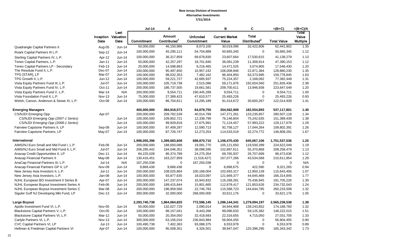|                                          |               |                                     | <b>Jul-14</b>     | A                                  |                               | в                              | C                                        | $=(B+C)$           | $=(B+C)/A$                 |
|------------------------------------------|---------------|-------------------------------------|-------------------|------------------------------------|-------------------------------|--------------------------------|------------------------------------------|--------------------|----------------------------|
|                                          | Date          | Last<br>Inception Valuation<br>Date | <b>Commitment</b> | Amount<br>Contributed <sup>1</sup> | <b>Unfunded</b><br>Commitment | <b>Current Market</b><br>Value | <b>Total</b><br>Distributed <sup>2</sup> | <b>Total Value</b> | Total<br>Value<br>Multiple |
| <b>Quadrangle Capital Partners II</b>    | Aug-05        | Jun-14                              | 50,000,000        | 46,150,986                         | 8,073,100                     | 30,019,096                     | 32,422,806                               | 62,441,902         | 1.35                       |
| Roark Capital Partners III L.P.          | Sep-12        | Jun-14                              | 100,000,000       | 45,295,111                         | 54,704,889                    | 50,665,345                     | $\mathbf 0$                              | 50,665,345         | 1.12                       |
| Sterling Capital Partners IV, L.P.       | Apr-12        | $Jun-14$                            | 100,000,000       | 36,317,859                         | 69,678,830                    | 23,607,664                     | 17,530,615                               | 41,138,279         | 1.13                       |
| Tenex Capital Partners, L.P.             | Jan-11        | Jun-14                              | 50,000,000        | 42,257,297                         | 18,701,840                    | 36,081,239                     | 11,308,914                               | 47,390,153         | 1.12                       |
| Tenex Capital Partners LP - Secondary    | Feb-13        | Jun-14                              | 20,000,000        | 14,598,863                         | 9,216,465                     | 14,471,525                     | 3,074,905                                | 17,546,430         | 1.20                       |
| The Resolute Fund II, L.P.               | Dec-07        | $Jun-14$                            | 100,000,000       | 95,497,650                         | 10,957,242                    | 106,008,846                    | 22,871,384                               | 128,880,230        | 1.35                       |
| TPG [STAR], LP                           | Mar-07        | Jun-14                              | 100,000,000       | 98.032,353                         | 7,482,162                     | 96,404,850                     | 63,373,995                               | 159,778,845        | 1.63                       |
| TPG Growth II, L.P.                      | Jun-12        | Jun-14                              | 100,000,000       | 59,221,727                         | 42,685,937                    | 75,224,357                     | 2,168,092                                | 77,392,449         | 1.31                       |
| Vista Equity Partners Fund III, L.P.     | Jul-07        | Jun-14                              | 100,000,000       | 105,719,738                        | 2,515,086                     | 59,171,876                     | 192,654,560                              | 251,826,436        | 2.38                       |
| Vista Equity Partners Fund IV, L.P.      | Oct-11        | Jun-14                              | 200,000,000       | 186,737,505                        | 19,661,581                    | 209,700,611                    | 13,946,938                               | 223,647,549        | 1.20                       |
| Vista Equity Partners Fund V, L.P.       | Mar-14        | N/A                                 | 200,000,000       | 9,554,711                          | 190,445,289                   | 9,554,711                      | $\mathbf 0$                              | 9,554,711          | 1.00                       |
| Vista Foundation Fund II, L.P.           | <b>Nov-13</b> | Jun-14                              | 75,000,000        | 27,389,423                         | 47,610,577                    | 25,493,226                     | $\mathbf 0$                              | 25,493,226         | 0.93                       |
| Welsh, Carson, Anderson & Stowe XI, L.P. | Oct-08        | Jun-14                              | 100,000,000       | 86,704,811                         | 13,295,189                    | 91,414,672                     | 30,600,267                               | 122,014,939        | 1.41                       |
| <b>Emerging Managers</b>                 |               |                                     | 400,000,000       | 384,918,573                        | 64,878,755                    | 354,562,908                    | 182,554,893                              | 537,117,801        | 1.40                       |
| CS/NJDI Emerging Opp                     | Apr-07        |                                     | 200,000,000       | 209,782,539                        | 40,014,789                    | 147,271,261                    | 133,235,857                              | 280,507,118        | 1.34                       |
| CS/NJDI Emerging Opp (2007-1 Series)     |               | Jun-14                              | 100,000,000       | 109,852,721                        | 12,338,799                    | 76,146,804                     | 75,242,635                               | 151,389,439        | 1.38                       |
| CS/NJDI Emerging Opp (2008-1 Series)     |               | Jun-14                              | 100,000,000       | 99,929,818                         | 27,675,991                    | 71,124,457                     | 57,993,222                               | 129,117,679        | 1.29                       |
| Fairview Capstone Partners II, LP        | Sep-08        | Jun-14                              | 100,000,000       | 87,409,287                         | 12,590,713                    | 92,758,127                     | 17,044,264                               | 109,802,391        | 1.26                       |
| Fairview Capstone Partners, LP           | May-07        | Jun-14                              | 100,000,000       | 87,726,747                         | 12,273,253                    | 114,533,519                    | 32,274,772                               | 146,808,291        | 1.67                       |
| International                            |               |                                     | 1,998,055,396     | 1,399,683,608                      | 688,870,710                   | 1,106,470,430                  | 645,067,106                              | 1,751,537,536      | 1.25                       |
| AIMS/NJ Euro Small and Mid Fund I, L.P.  | Feb-06        | Jun-14                              | 200,000,000       | 188,650,088                        | 19,081,770                    | 105,121,650                    | 119,500,399                              | 224,622,049        | 1.19                       |
| AIMS/NJ Euro Small and Mid Fund II, L.P. | Jul-07        | Jun-14                              | 206,295,442       | 184,046,351                        | 38,098,595                    | 152,887,611                    | 55,370,868                               | 208,258,479        | 1.13                       |
| Anacap Credit Opportunities II, LP       | Dec-11        | Jun-14                              | 84,225,028        | 86,374,789                         | 24,275,354                    | 69,765,937                     | 26,707,699                               | 96,473,636         | 1.12                       |
| Anacap Financial Partners II             | May-08        | Jun-14                              | 130,416,451       | 163,227,959                        | (1,518,427)                   | 167,077,266                    | 43,534,588                               | 210,611,854        | 1.29                       |
| AnaCap Financial Partners III, L.P.      | <b>Jul-14</b> | N/A                                 | 167,250,038       | $\mathbf 0$                        | 167,250,038                   | $\mathbf 0$                    | $\mathbf 0$                              | $\mathbf 0$        | N/A                        |
| Anacap Financial Partners GP II, LP      | Nov-09        | Jun-14                              | 9,868,438         | 9,868,438                          | 0                             | 8,898,675                      | 422,590                                  | 9,321,265          | 0.94                       |
| New Jersey Asia Investors II, L.P.       | $Jul-11$      | Jun-14                              | 200,000,000       | 108,025,864                        | 100,168,004                   | 102,693,317                    | 12,950,139                               | 115,643,456        | 1.07                       |
| New Jersey Asia Investors, L.P.          | $Jan-08$      | Jun-14                              | 100,000,000       | 93,877,635                         | 18,023,097                    | 121,669,377                    | 44,645,468                               | 166,314,845        | 1.77                       |
| NJHL European BO Investment II Series B  | Apr-07        | Jun-14                              | 200,000,000       | 147,237,074                        | 16,943,832                    | 116,268,281                    | 75,436,945                               | 191,705,226        | 1.30                       |
| NJHL European Buyout Investment Series A | Feb-06        | Jun-14                              | 200,000,000       | 189,415,844                        | 15,801,665                    | 112,878,417                    | 121,853,626                              | 234,732,043        | 1.24                       |
| NJHL European Buyout Investment Series C | Mar-08        | Jun-14                              | 200,000,000       | 196,959,566                        | 22,746,783                    | 115,588,723                    | 144,644,785                              | 260,233,508        | 1.32                       |
| Siguler Guff NJ Developing Mkt Fund, LP  | Dec-13        | Jun-14                              | 300,000,000       | 32,000,000                         | 268,000,000                   | 33,621,176                     | $\mathbf 0$                              | 33,621,176         | 1.05                       |
| <b>Large Buyout</b>                      |               |                                     | 2,293,740,738     | 1,864,064,825                      | 772,596,145                   | 1,286,144,341                  | 1,279,094,197                            | 2,565,238,538      | 1.38                       |
| Apollo Investment Fund VI, L.P.          | <b>Nov-05</b> | Jun-14                              | 50,000,000        | 132,027,729                        | 2,090,014                     | 34,944,908                     | 139,243,852                              | 174,188,760        | 1.32                       |
| Blackstone Capital Partners V, L.P.      | $Oct-05$      | Jun-14                              | 100,000,000       | 98,157,041                         | 8,443,266                     | 89,096,633                     | 59,125,382                               | 148,222,015        | 1.51                       |
| Blackstone Capital Partners VI, L.P.     | Mar-12        | Jun-14                              | 50,000,000        | 20,354,050                         | 32,418,693                    | 22,316,655                     | 4,715,050                                | 27,031,705         | 1.33                       |
| Carlyle Partners VI, L.P.                | <b>Nov-13</b> | Jun-14                              | 300,000,000       | 63,156,016                         | 236,843,984                   | 56,904,455                     | $\mathbf 0$                              | 56,904,455         | 0.90                       |
| CVC Capital Partners VI, LP              | $Jul-13$      | $Jun-14$                            | 100,490,738       | 7,402,363                          | 93,088,375                    | 6,553,978                      | $\mathbf 0$                              | 6,553,978          | 0.89                       |
| Hellman & Friedman Capital Partners VI   | Apr-07        | Jun-14                              | 100,000,000       | 95,508,351                         | 4,326,501                     | 39,947,047                     | 125,396,295                              | 165,343,342        | 1.73                       |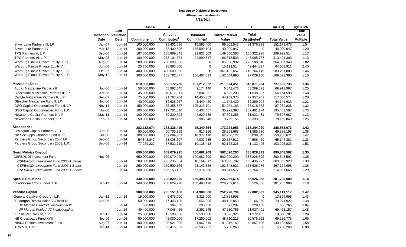|                                         |               |                             | <b>Jul-14</b> | A                        |                 | в                     | C                        | =(B+C)             | $=(B+C)/A$      |
|-----------------------------------------|---------------|-----------------------------|---------------|--------------------------|-----------------|-----------------------|--------------------------|--------------------|-----------------|
|                                         |               | Last<br>Inception Valuation |               | <b>Amount</b>            | <b>Unfunded</b> | <b>Current Market</b> | <b>Total</b>             |                    | Total<br>Value  |
|                                         | Date          | Date                        | Commitment    | Contributed <sup>1</sup> | Commitment      | Value                 | Distributed <sup>2</sup> | <b>Total Value</b> | <b>Multiple</b> |
| Silver Lake Partners III, LP            | Jan-07        | Jun-14                      | 100,000,000   | 98,401,696               | 15,595,400      | 69,802,542            | 81,376,933               | 151, 179, 475      | 1.54            |
| Silver Lake Partners IV                 | Mar-13        | Jun-14                      | 200,000,000   | 33,400,896               | 166,599,104     | 40,099,947            | $\mathbf 0$              | 40,099,947         | 1.20            |
| TPG Partners V, L.P.                    | Sep-06        | $Jun-14$                    | 187,500,000   | 256,889,643              | 21,823,569      | 149,600,588           | 150,322,926              | 299,923,514        | 1.17            |
| TPG Partners VI, L.P.                   | May-08        | Jun-14                      | 180,000,000   | 278,101,664              | 24,899,617      | 166,318,536           | 147,085,767              | 313,404,303        | 1.13            |
| Warburg Pincus Private Equity IX, LP    | Aug-05        | Jun-14                      | 200,000,000   | 200,000,000              | 0               | 85,398,992            | 279,588,348              | 364,987,340        | 1.82            |
| Warburg Pincus Private Equity VIII      | Jun-06        | Jun-14                      | 25,750,000    | 26,883,000               | $\pmb{0}$       | 15,119,514            | 49,444,397               | 64,563,911         | 2.40            |
| Warburg Pincus Private Equity X, LP     | Oct-07        | Jun-14                      | 400,000,000   | 400,000,000              | $\mathbf 0$     | 367,495,657           | 215,766,146              | 583,261,803        | 1.46            |
| Warburg Pincus Private Equity XI, LP    | May-12        | Jun-14                      | 300,000,000   | 153,782,377              | 166,467,623     | 142,544,890           | 27,029,100               | 169,573,990        | 1.10            |
| <b>Mezzanine Debt</b>                   |               |                             | 610,000,000   | 536,172,780              | 187,212,322     | 211,624,451           | 516,071,284              | 727,695,735        | 1.36            |
| Audax Mezzanine Partners II             | Nov-06        | Jun-14                      | 50,000,000    | 55,992,545               | 2,174,146       | 6,642,476             | 63,269,521               | 69,911,997         | 1.25            |
| Blackstone Mezzanine Partners II, LP    | Apr-06        | Jun-14                      | 45,000,000    | 40,017,311               | 7,804,361       | 4,526,203             | 51,638,387               | 56,164,590         | 1.40            |
| Carlyle Mezzanine Partners II, L.P.     | $Dec-07$      | Jun-14                      | 75,000,000    | 91,767,704               | 14,455,553      | 44,109,373            | 72,957,201               | 117,066,574        | 1.28            |
| Gleacher Mezzanine Fund II, LP          | Nov-06        | Jun-14                      | 40,000,000    | 36,625,667               | 3,449,420       | 11,742,430            | 32,399,204               | 44,141,633         | 1.21            |
| GSO Capital Opportunities Fund II, LP   | <b>Nov-11</b> | Jun-14                      | 150,000,000   | 66,358,387               | 105,313,701     | 51,251,165            | 36,018,673               | 87,269,838         | 1.32            |
| GSO Capital Opportunities Fund, L.P.    | Jul-08        | Jun-14                      | 100,000,000   | 112,701,810              | 6,407,457       | 35,992,393            | 159,461,174              | 195,453,567        | 1.73            |
| Newstone Capital Partners II, L.P.      | May-11        | Jun-14                      | 100,000,000   | 70,320,593               | 44,620,736      | 47,594,256            | 31,933,431               | 79,527,687         | 1.13            |
| Newstone Capital Partners, L.P.         | Feb-07        | Jun-14                      | 50,000,000    | 62,388,763               | 2,986,948       | 9,766,156             | 68,393,693               | 78,159,849         | 1.25            |
| <b>Secondaries</b>                      |               |                             | 282,112,074   | 273,336,495              | 25,340,164      | 173,224,053           | 215,344,020              | 388,568,073        | 1.42            |
| Lexington Capital Partners VI-B         | Jun-06        | Jun-14                      | 50,000,000    | 50,705,969               | 817,356         | 28,253,688            | 41,585,510               | 69,839,198         | 1.38            |
| NB Sec Opps Offshore Fund II LP         | Jul-08        | Jun-14                      | 100,000,000   | 102,089,301              | 10,377,110      | 62,250,127            | 88,038,545               | 150,288,671        | 1.47            |
| Partners Group Secondary 2006 LP        | Sep-06        | Jun-14                      | 54,842,847    | 53,008,507               | 4,007,285       | 20,557,912            | 44,586,469               | 65,144,381         | 1.23            |
| Partners Group Secondary 2008, L.P.     | Sep-08        | Jun-14                      | 77,269,227    | 67,532,719               | 10,138,412      | 62,162,326            | 41,133,496               | 103,295,823        | 1.53            |
| <b>Small/Midsize Buyout</b>             |               |                             | 650,000,000   | 659,079,925              | 100,682,709     | 502,020,200           | 388,828,392              | 890,848,592        | 1.35            |
| <b>CSFB/NJDI Investment Fund</b>        | <b>Nov-05</b> |                             | 650,000,000   | 659,079,925              | 100,682,709     | 502,020,200           | 388,828,392              | 890,848,592        | 1.35            |
| CSFB/NJDI Investment Fund 2005-1 Series |               | $Jun-14$                    | 200,000,000   | 223,336,334              | 10,164,317      | 169,929,702           | 139,436,227              | 309,365,929        | 1.39            |
| CSFB/NJDI Investment Fund 2006-1 Series |               | Jun-14                      | 250,000,000   | 269,590,166              | 23,143,826      | 193,548,922           | 173,626,076              | 367,174,998        | 1.36            |
| CSFB/NJDI Investment Fund 2008-1 Series |               | Jun-14                      | 200,000,000   | 166, 153, 425            | 67,374,566      | 138,541,577           | 75,766,089               | 214,307,665        | 1.29            |
| <b>Special Situations</b>               |               |                             | 340,000,000   | 238,829,220              | 156,493,120     | 226,259,614           | 55,526,366               | 281,785,980        | 1.18            |
| Blackstone TOP Fund-A, L.P.             | $Jan-12$      | Jun-14                      | 340,000,000   | 238,829,220              | 156,493,120     | 226,259,614           | 55,526,366               | 281,785,980        | 1.18            |
| <b>Venture Capital</b>                  |               |                             | 380,000,000   | 235, 151, 458            | 164,988,068     | 252,228,734           | 92,882,382               | 345,111,117        | 1.47            |
| General Catalyst Group VI, L.P.         | $Jan-12$      | Jun-14                      | 15,000,000    | 9,675,000                | 5,325,000       | 13,854,995            | $\Omega$                 | 13,854,995         | 1.43            |
| JP Morgan Direct/Pooled VC Instit III   | Jun-06        |                             | 50,000,000    | 47,443,105               | 2,556,895       | 48,108,053            | 22,166,869               | 70,274,922         | 1.48            |
| JP Morgan Direct VC Institutional III   |               | $Jun-14$                    | 600,000       | 394,650                  | 205,350         | 577,297               | 229,468                  | 806,765            | 2.04            |
| JP Morgan Pooled VC Institutional III   |               | Jun-14                      | 49,400,000    | 47,048,455               | 2,351,545       | 47,530,756            | 21,937,401               | 69,468,157         | 1.48            |
| Khosla Venutres IV, L.P.                | $Jan-12$      | Jun-14                      | 25,000,000    | 15,500,000               | 9,500,000       | 18,596,326            | 1,272,455                | 19,868,781         | 1.28            |
| NB Crossroads Fund XVIII                | Nov-06        | Jun-14                      | 50,000,000    | 42,000,000               | 17,250,002      | 48,710,213            | 20,575,562               | 69,285,775         | 1.65            |
| NB/NJ Custom Investment Fund            | Aug-07        | Jun-14                      | 100,000,000   | 88,921,905               | 21,967,619      | 91,316,162            | 48,867,496               | 140,183,658        | 1.58            |
| TCV VIII, L.P.                          | $Jan-14$      | Jun-14                      | 100,000,000   | 6,416,063                | 93,583,937      | 5,750,268             | $\mathbf 0$              | 5,750,268          | 0.90            |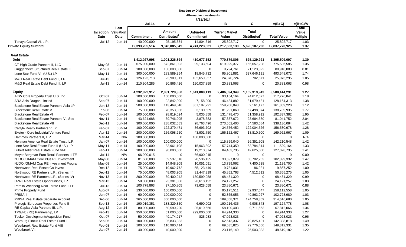|                                          |               |                                     |                |                                    | 7/31/2014                     |                                |                                          |                    |                                   |
|------------------------------------------|---------------|-------------------------------------|----------------|------------------------------------|-------------------------------|--------------------------------|------------------------------------------|--------------------|-----------------------------------|
|                                          |               |                                     | <b>Jul-14</b>  | Α                                  |                               | в                              | C                                        | $=(B+C)$           | $=(B+C)/A$                        |
|                                          | Date          | Last<br>Inception Valuation<br>Date | Commitment     | Amount<br>Contributed <sup>1</sup> | <b>Unfunded</b><br>Commitment | <b>Current Market</b><br>Value | <b>Total</b><br>Distributed <sup>2</sup> | <b>Total Value</b> | Total<br>Value<br><b>Multiple</b> |
| Tenaya Capital VI, L.P.                  | Jul-12        | Jun-14                              | 40,000,000     | 25,195,384                         | 14,804,616                    | 25,892,717                     | 0                                        | 25,892,717         | 1.03                              |
| <b>Private Equity Subtotal</b>           |               |                                     | 12,393,205,514 | 9,345,085,349                      | 4,241,223,331                 | 7,217,663,130                  | 5,620,107,796                            | 12,837,770,925     | 1.37                              |
| <b>Real Estate</b>                       |               |                                     |                |                                    |                               |                                |                                          |                    |                                   |
| <b>Debt</b>                              |               |                                     | 1,412,027,998  | 1,001,226,894                      | 410,677,152                   | 770,379,806                    | 625,129,291                              | 1,395,509,097      | 1.39                              |
| CT High Grade Partners II, LLC           | May-08        | Jun-14                              | 675,000,000    | 572,861,303                        | 99,133,604                    | 619,929,377                    | 155,657,208                              | 775,586,585        | 1.35                              |
| Guggenheim Structured Real Estate III    | Sep-07        | Jun-14                              | 100,000,000    | 100,000,000                        | $\mathbf 0$                   | 9,794,761                      | 71,123,322                               | 80,918,083         | 0.81                              |
| Lone Star Fund VII (U.S.) LP             | May-11        | $Jun-14$                            | 300,000,000    | 283,589,254                        | 18,845,732                    | 95,901,881                     | 397,646,191                              | 493,548,072        | 1.74                              |
| M&G Real Estate Debt Fund II, LP         | $Jul-13$      | Jun-14                              | 126,123,713    | 23,909,911                         | 102,659,957                   | 24,370,724                     | 702,571                                  | 25,073,295         | 1.05                              |
| M&G Real Estate Debt Fund III, LP        | $Jul-13$      | Jun-14                              | 210,904,285    | 20,866,426                         | 190,037,859                   | 20,383,063                     | 0                                        | 20,383,063         | 0.98                              |
| <b>Equity</b>                            |               |                                     | 4,232,822,917  | 2,831,729,350                      | 1,641,009,113                 | 2,486,094,349                  | 1,102,319,943                            | 3,588,414,291      | 1.27                              |
| AEW Core Property Trust U.S. Inc.        | Oct-07        | $Jun-14$                            | 100,000,000    | 100,000,000                        | $\mathbf 0$                   | 93,164,164                     | 24,612,677                               | 117,776,841        | 1.18                              |
| ARA Asia Dragon Limited                  | Sep-07        | Jun-14                              | 100,000,000    | 92,842,000                         | 7,158,000                     | 46,484,882                     | 81,679,431                               | 128,164,313        | 1.38                              |
| Blackstone Real Estate Partners Asia LP  | $Jun-13$      | Jun-14                              | 500,000,000    | 143,469,046                        | 357, 197, 291                 | 159,208,043                    | 2,161,177                                | 161,369,220        | 1.12                              |
| <b>Blackstone Real Estate V</b>          | Feb-06        | Jun-14                              | 75,000,000     | 78,353,336                         | 3,130,539                     | 81,291,060                     | 57,498,874                               | 138,789,935        | 1.77                              |
| <b>Blackstone Real Estate VI</b>         | Feb-07        | Jun-14                              | 100,000,000    | 98,819,024                         | 5,035,858                     | 131,478,470                    | 61,358,912                               | 192,837,382        | 1.95                              |
| Blackstone Real Estate Partners VI, Sec  | <b>Nov-11</b> | Jun-14                              | 43,624,688     | 39,746,005                         | 3,878,683                     | 57,357,072                     | 23,684,680                               | 81,041,752         | 2.04                              |
| <b>Blackstone Real Estate VII</b>        | Dec-11        | Jun-14                              | 300,000,000    | 238,032,683                        | 98,763,496                    | 273,552,400                    | 64,583,684                               | 338,136,084        | 1.42                              |
| Carlyle Realty Partners V LP             | Feb-07        | $Jun-14$                            | 100,000,000    | 122,379,471                        | 36,693,702                    | 34,576,452                     | 122,004,526                              | 156,580,978        | 1.28                              |
| Exeter - Core Industrial Venture Fund    | Apr-12        | $Jun-14$                            | 200,000,000    | 156,098,250                        | 43,901,750                    | 156, 152, 467                  | 13,810,500                               | 169,962,967        | 1.09                              |
| Hammes Partners II, L.P.                 | Mar-14        | N/A                                 | 100,000,000    | $\mathbf 0$                        | 100,000,000                   | 0                              | $\mathbf 0$                              | $\mathbf 0$        | N/A                               |
| Heitman America Real Estate Trust, L.P.  | Jan-07        | $Jun-14$                            | 100,000,000    | 100,000,000                        | 0                             | 115,859,040                    | 26,351,508                               | 142,210,548        | 1.42                              |
| Lone Star Real Estate Fund II (U.S.) LP  | May-11        | Jun-14                              | 100,000,000    | 83,961,108                         | 15,963,892                    | 57,744,350                     | 53,784,814                               | 111,529,164        | 1.33                              |
| Lubert Adler Real Estate Fund VI-B       | Feb-11        | Jun-14                              | 100,000,000    | 90,000,000                         | 19,210,374                    | 84,403,735                     | 42,625,000                               | 127,028,735        | 1.41                              |
| Meyer Bergman Euro Retail Partners II-TE | $Jul-14$      | N/A                                 | 66,900,015     | 0                                  | 66,900,015                    | $\mathbf 0$                    | $\mathbf 0$                              | $\Omega$           | 0.00                              |
| NJDOI/GMAM Core Plus RE Investment       | May-08        | Jun-14                              | 81,500,000     | 69,537,518                         | 20,536,135                    | 33,697,079                     | 68,702,253                               | 102,399,332        | 1.47                              |
| NJDOI/GMAM Opp RE Investment Program     | May-08        | Jun-14                              | 25,000,000     | 14,948,909                         | 10,051,091                    | 13,799,062                     | 7,400,638                                | 21,199,700         | 1.42                              |
| Northwood Real Estate Co-Invest          | Dec-12        | $Jun-14$                            | 75,000,000     | 19,962,772                         | 55,123,449                    | 19,781,031                     | 86,221                                   | 19,867,252         | 1.00                              |
| Northwood RE Partners L.P., (Series III) | Dec-12        | Jun-14                              | 75,000,000     | 48,003,905                         | 31,447,319                    | 45,852,763                     | 4,512,512                                | 50,365,275         | 1.05                              |
| Northwood RE Partners L.P., (Series IV)  | <b>Nov-13</b> | Jun-14                              | 200,000,000    | 69,400,942                         | 130,599,058                   | 68,451,329                     | 0                                        | 68,451,329         | 0.99                              |
| OZNJ Real Estate Opportunities, LP       | Mar-13        | $Jun-14$                            | 50,000,000     | 23,381,808                         | 26,618,192                    | 24, 121, 257                   | 0                                        | 24, 121, 257       | 1.03                              |
| Perella Weinberg Real Estate Fund II LP  | $Jul-13$      | $Jun-14$                            | 100,778,863    | 27,150,805                         | 73,628,058                    | 23,880,671                     | 0                                        | 23,880,671         | 0.88                              |
| Prime Property Fund                      | Aug-07        | Jun-14                              | 130,000,000    | 150,000,000                        | 0                             | 95,175,511                     | 62,937,047                               | 158,112,558        | 1.05                              |
| PRISA II                                 | <b>Jun-07</b> | Jun-14                              | 60,000,000     | 100,000,000                        | 0                             | 52,865,053                     | 49,863,927                               | 102,728,980        | 1.03                              |
| PRISA Real Estate Separate Account       | Dec-06        | Jun-14                              | 265,000,000    | 300,000,000                        | 0                             | 189,858,371                    | 124,758,309                              | 314,616,680        | 1.05                              |
| Prologis European Properties Fund II     | Sep-13        | Jun-14                              | 190,019,351    | 183,329,350                        | 6,690,002                     | 190,216,435                    | 6,908,343                                | 197, 124, 778      | 1.08                              |
| RE Capital Asia Partners III, L.P.       | Aug-12        | Jun-14                              | 80,000,000     | 50,590,220                         | 35,019,666                    | 58,100,403                     | 9,711,663                                | 67,812,066         | 1.34                              |
| TPG/NJ (RE) Partnership, LP              | Feb-13        | Jun-14                              | 350,000,000    | 51,000,000                         | 299,000,000                   | 64,914,330                     | 0                                        | 64,914,330         | 1.27                              |
| Tucker Development/Acquisition Fund      | Oct-07        | Jun-14                              | 50,000,000     | 49,174,917                         | 825,083                       | 47,023,023                     | 0                                        | 47,023,023         | 0.96                              |
| Warburg Pincus Real Estate Fund I        | Sep-06        | Jun-14                              | 100,000,000    | 95,833,333                         | 0                             | 62,513,337                     | 79,825,481                               | 142,338,818        | 1.49                              |
| Westbrook Real Estate Fund VIII          | Feb-08        | Jun-14                              | 100,000,000    | 110,980,414                        | 0                             | 69,535,825                     | 79,776,506                               | 149,312,331        | 1.35                              |
| Westbrook VII                            | Jan-07        | Jun-14                              | 40,000,000     | 40,000,000                         | 0                             | 23,116,149                     | 25,503,033                               | 48,619,182         | 1.22                              |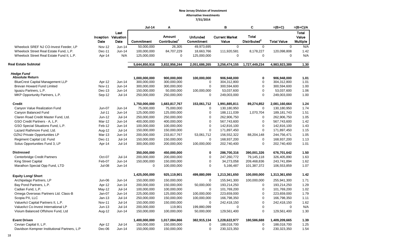|                                              |                                    |               | <b>Jul-14</b> | Α                                  |                               | B                              | C                                        | $=(B+C)$           | $=(B+C)/A$                 |
|----------------------------------------------|------------------------------------|---------------|---------------|------------------------------------|-------------------------------|--------------------------------|------------------------------------------|--------------------|----------------------------|
|                                              | <b>Inception Valuation</b><br>Date | Last<br>Date  | Commitment    | Amount<br>Contributed <sup>1</sup> | <b>Unfunded</b><br>Commitment | <b>Current Market</b><br>Value | <b>Total</b><br>Distributed <sup>2</sup> | <b>Total Value</b> | Total<br>Value<br>Multiple |
| Wheelock SREF NJ CO-Invest Feeder, LP        | <b>Nov-12</b>                      | Jun-14        | 50.000.000    | 26,305                             | 49,973,695                    | $\Omega$                       | $\Omega$                                 | $\Omega$           | N/A                        |
| Wheelock Street Real Estate Fund, L.P.       | Dec-11                             | <b>Jun-14</b> | 100,000,000   | 84,707,229                         | 18,663,766                    | 111,920,581                    | 8,178,227                                | 120,098,808        | 1.42                       |
| Wheelock Street Real Estate Fund II, L.P.    | Apr-14                             | N/A           | 125,000,000   | $\mathbf 0$                        | 125,000,000                   | 0                              | $\mathbf 0$                              | $\Omega$           | N/A                        |
| <b>Real Estate Subtotal</b>                  |                                    |               | 5,644,850,916 | 3,832,956,244                      | 2,051,686,265                 | 3,256,474,155                  | 1,727,449,234                            | 4,983,923,389      | 1.30                       |
|                                              |                                    |               |               |                                    |                               |                                |                                          |                    |                            |
| <b>Hedge Fund</b>                            |                                    |               |               |                                    |                               |                                |                                          |                    |                            |
| <b>Absolute Return</b>                       |                                    |               | 1.000.000.000 | 900.000.000                        | 100,000,000                   | 906.948.000                    | $\mathbf 0$                              | 906.948.000        | 1.01                       |
| <b>BlueCrest Capital Management LLP</b>      | Apr-12                             | Jun-14        | 300,000,000   | 300,000,000                        | 0                             | 304,312,800                    | $\mathbf 0$                              | 304,312,800        | 1.01                       |
| Brevan Howard Fund Limited                   | Nov-11                             | Jun-14        | 300,000,000   | 300,000,000                        | 0                             | 300,594,600                    | $\mathbf 0$                              | 300,594,600        | 1.00                       |
| Iguazu Partners, L.P.                        | Dec-13                             | $Jun-14$      | 150,000,000   | 50,000,000                         | 100,000,000                   | 53,037,600                     | $\mathbf 0$                              | 53,037,600         | 1.06                       |
| MKP Opportunity Partners, L.P.               | Sep-12                             | <b>Jul-14</b> | 250,000,000   | 250,000,000                        | $\mathbf 0$                   | 249,003,000                    | $\mathbf 0$                              | 249,003,000        | 1.00                       |
| <b>Credit</b>                                |                                    |               | 1,750,000,000 | 1,683,817,767                      | 153,061,712                   | 1,991,885,811                  | 89,274,852                               | 2,081,160,664      | 1.24                       |
| Canyon Value Realization Fund                | $Jun-07$                           | $Jun-14$      | 75,000,000    | 75,000,000                         | $\mathbf 0$                   | 130,180,950                    | $\mathbf 0$                              | 130,180,950        | 1.74                       |
| Canyon Balanced Fund                         | <b>Jul-11</b>                      | Jun-14        | 125,000,000   | 125,000,000                        | $\mathbf 0$                   | 188,111,039                    | 1,070,704                                | 189, 181, 743      | 1.51                       |
| Claren Road Credit Master Fund, Ltd.         | $Jun-12$                           | $Jul-14$      | 250,000,000   | 250,000,000                        | 0                             | 262,906,750                    | $\mathbf 0$                              | 262,906,750        | 1.05                       |
| GSO Credit Partners - A, L.P.                | Mar-12                             | <b>Jun-14</b> | 400,000,000   | 400,000,000                        | 0                             | 567,743,600                    | $\mathbf 0$                              | 567,743,600        | 1.42                       |
| GSO Special Situations Fund, L.P.            | Feb-12                             | Jun-14        | 100,000,000   | 100,000,000                        | 0                             | 142,816,100                    | $\mathbf 0$                              | 142,816,100        | 1.43                       |
| Lazard Rathmore Fund, Ltd.                   | Aug-12                             | $Jul-14$      | 150,000,000   | 150,000,000                        | 0                             | 171,897,450                    | $\pmb{0}$                                | 171,897,450        | 1.15                       |
| OZNJ Private Opportunities LP                | Mar-13                             | Jun-14        | 200,000,000   | 233,817,767                        | 53,061,712                    | 156,552,322                    | 88,204,148                               | 244,756,471        | 1.05                       |
| Regiment Capital Ltd. Fund                   | Dec-11                             | $Jul-14$      | 150,000,000   | 150,000,000                        | 0                             | 168,937,200                    | $\mathbf 0$                              | 168,937,200        | 1.13                       |
| Solus Opportunities Fund 3, LP               | Apr-14                             | <b>Jul-14</b> | 300,000,000   | 200,000,000                        | 100,000,000                   | 202,740,400                    | $\Omega$                                 | 202,740,400        | 1.01                       |
| <b>Distressed</b>                            |                                    |               | 350,000,000   | 450,000,000                        | 0                             | 286,700,316                    | 390,001,326                              | 676,701,642        | 1.50                       |
| <b>Centerbridge Credit Partners</b>          | Oct-07                             | $Jul-14$      | 200,000,000   | 200,000,000                        | $\mathbf 0$                   | 247,260,772                    | 79,145,118                               | 326,405,890        | 1.63                       |
| King Street Capital                          | Feb-07                             | Jun-14        | 150,000,000   | 150,000,000                        | 0                             | 34,273,058                     | 209,468,836                              | 243,741,894        | 1.62                       |
| Marathon Special Opp Fund, LTD               | <b>Jul-08</b>                      | Jun-14        | $\mathbf 0$   | 100,000,000                        | 0                             | 5,166,487                      | 101,387,372                              | 106,553,859        | 1.07                       |
| <b>Equity Long/ Short</b>                    |                                    |               | 1,425,000,000 | 925,119,901                        | 499,880,099                   | 1,213,361,650                  | 100,000,000                              | 1,313,361,650      | 1.42                       |
| Archipelago Partners, LP                     | Jun-06                             | Jun-14        | 150,000,000   | 150,000,000                        | 0                             | 155,941,300                    | 100,000,000                              | 255,941,300        | 1.71                       |
| Bay Pond Partners, L.P.                      |                                    | <b>Jun-14</b> | 200,000,000   | 150,000,000                        | 50,000,000                    | 193,214,250                    | $\mathbf 0$                              | 193,214,250        | 1.29                       |
| Cadian Fund, L.P.                            | Apr-12<br>May-12                   | $Jul-14$      | 100,000,000   | 100,000,000                        | 0                             | 101,769,200                    | $\mathbf 0$                              | 101,769,200        | 1.02                       |
| Omega Overseas Partners Ltd. Class-B         | Jan-07                             | <b>Jun-14</b> | 225,000,000   | 125,000,000                        | 100,000,000                   | 223,659,000                    | $\mathbf 0$                              | 223,659,000        | 1.79                       |
| Scopia PX, LLC                               | $Jan-13$                           | Jul-14        |               |                                    |                               |                                | $\mathbf 0$                              | 166,798,350        | 1.11                       |
| ValueAct Capital Partners II, L.P.           |                                    | Jul-14        | 250,000,000   | 150,000,000                        | 100,000,000<br>$\mathbf 0$    | 166,798,350                    | $\mathbf 0$                              |                    | 1.62                       |
|                                              | Nov-11                             |               | 150,000,000   | 150,000,000                        |                               | 242,418,150                    | $\mathbf 0$                              | 242,418,150        |                            |
| ValueAct Co-Invest International LP          | $Jun-13$                           | <b>Jul-14</b> | 200,000,000   | 119,901                            | 199,880,099                   | $\mathbf 0$                    |                                          | 0                  | N/A                        |
| Visium Balanced Offshore Fund, Ltd           | Aug-12                             | Jun-14        | 150,000,000   | 100,000,000                        | 50,000,000                    | 129,561,400                    | $\Omega$                                 | 129,561,400        | 1.30                       |
| <b>Event Driven</b>                          |                                    |               | 1,400,000,000 | 1,017,084,866                      | 382,915,134                   | 1,228,622,977                  | 180,586,688                              | 1,409,209,665      | 1.39                       |
| Cevian Capital II, L.P.                      | Apr-12                             | <b>Jul-14</b> | 150,000,000   | 150,000,000                        | 0                             | 188,018,700                    | $\mathbf 0$                              | 188,018,700        | 1.25                       |
| Davidson Kempner Institutional Partners, L.P | Dec-06                             | <b>Jun-14</b> | 150,000,000   | 150,000,000                        | $\Omega$                      | 230,323,350                    | $\mathbf 0$                              | 230,323,350        | 1.54                       |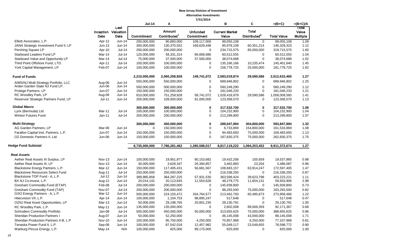|                                         |               |                             | <b>Jul-14</b> | Α                        |                               | в                              | C.                       | $=(B+C)$           | $=(B+C)/A$        |
|-----------------------------------------|---------------|-----------------------------|---------------|--------------------------|-------------------------------|--------------------------------|--------------------------|--------------------|-------------------|
|                                         |               | Last                        |               | Amount                   |                               |                                | <b>Total</b>             |                    | Total             |
|                                         | Date          | Inception Valuation<br>Date | Commitment    | Contributed <sup>1</sup> | <b>Unfunded</b><br>Commitment | <b>Current Market</b><br>Value | Distributed <sup>2</sup> | <b>Total Value</b> | Value<br>Multiple |
| Elliott Associates, L.P.                | Apr-12        | Jun-14                      | 200,000,000   | 90,883,000               | 109,117,000                   | 99,055,108                     | $\mathbf 0$              | 99,055,108         | 1.09              |
| JANA Strategic Investment Fund II, LP   | Jun-13        | Jun-14                      | 300,000,000   | 130,370,552              | 169,629,448                   | 85,978,109                     | 60,351,214               | 146,329,323        | 1.12              |
| Pershing Square LP                      | Apr-10        | $Jul-14$                    | 200,000,000   | 200,000,000              | $\mathbf 0$                   | 234,715,575                    | 85,000,000               | 319,715,575        | 1.60              |
| Starboard Leaders Fund LP               | Mar-14        | $Jul-14$                    | 125,000,000   | 58,331,314               | 66,668,686                    | 60,512,555                     | $\mathbf 0$              |                    | 1.04              |
|                                         |               |                             |               |                          |                               |                                | $\mathbf 0$              | 60,512,555         |                   |
| Starboard Value and Opportunity LP      | Mar-14        | $Jul-14$                    | 75,000,000    | 37,500,000               | 37,500,000                    | 38,074,688                     |                          | 38,074,688         | 1.02              |
| Third Point Offshore Fund, LTD.         | Apr-11        | $Jul-14$                    | 100,000,000   | 100,000,000              | 0                             | 135,166,166                    | 10,235,474               | 145,401,640        | 1.45              |
| York Capital Management, LP             | Feb-07        | Jun-14                      | 100,000,000   | 100,000,000              | $\pmb{0}$                     | 156,778,725                    | 25,000,000               | 181,778,725        | 1.82              |
| <b>Fund of Funds</b>                    |               |                             | 2,210,000,000 | 2,060,258,928            | 149,741,072                   | 2,583,019,874                  | 29,590,586               | 2,612,610,460      | 1.27              |
| AIMS/NJ Multi-Strategy Portfolio, LLC   | Aug-06        | Jun-14                      | 550,000,000   | 550,000,000              | 0                             | 689,946,802                    | $\mathbf 0$              | 689,946,802        | 1.25              |
| Arden Garden State NJ Fund LP.          | Jun-06        | Jun-14                      | 500.000.000   | 500.000.000              | 0                             | 560.249.290                    | $\mathbf 0$              | 560.249.290        | 1.12              |
| Protege Partners, LP                    | Jun-07        | $Jun-14$                    | 150,000,000   | 150,000,000              | 0                             | 181,046,233                    | $\mathbf 0$              | 181,046,233        | 1.21              |
| RC Woodley Park, LP                     | Aug-06        | Jun-14                      | 810,000,000   | 751,258,928              | 58,741,072                    | 1,028,418,979                  | 29,590,586               | 1,058,009,565      | 1.41              |
| Reservoir Strategic Partners Fund, LP   | $Jul-11$      | Jun-14                      | 200,000,000   | 109,000,000              | 91,000,000                    | 123,358,570                    | 0                        | 123,358,570        | 1.13              |
|                                         |               |                             |               |                          |                               |                                |                          |                    |                   |
| <b>Global Macro</b>                     |               |                             | 300.000.000   | 300.000.000              | $\mathbf 0$                   | 317.532.700                    | $\mathbf 0$              | 317.532.700        | 1.06              |
| Lynx (Bermuda) Ltd.                     | Mar-11        | $Jul-14$                    | 100,000,000   | 100,000,000              | 0                             | 104,232,900                    | $\mathbf 0$              | 104,232,900        | 1.04              |
| <b>Winton Futures Fund</b>              | Jan-11        | <b>Jul-14</b>               | 200,000,000   | 200,000,000              | $\mathbf 0$                   | 213,299,800                    | $\mathbf 0$              | 213,299,800        | 1.07              |
| <b>Multi-Strategy</b>                   |               |                             | 300,000,000   | 450,000,000              | 0                             | 289,047,894                    | 304,800,000              | 593,847,894        | 1.32              |
| AG Garden Partners, LP                  | Mar-06        | Jun-14                      | $\mathbf 0$   | 150,000,000              | 0                             | 6,733,869                      | 154,800,000              | 161,533,869        | 1.08              |
| Farallon Capital Inst. Partners, L.P.   | Jun-07        | Jun-14                      | 150,000,000   | 150,000,000              | 0                             | 94,483,650                     | 75,000,000               | 169,483,650        | 1.13              |
| OZ Domestic Partners II, Ltd.           | Jun-06        | Jun-14                      | 150,000,000   | 150,000,000              | 0                             | 187,830,375                    | 75,000,000               | 262,830,375        | 1.75              |
| <b>Hedge Fund Subtotal</b>              |               |                             | 8,735,000,000 | 7,786,281,462            | 1,285,598,017                 | 8,817,119,222                  | 1,094,253,452            | 9,911,372,674      | 1.27              |
|                                         |               |                             |               |                          |                               |                                |                          |                    |                   |
| <b>Real Assets</b>                      |               |                             |               |                          |                               |                                |                          |                    |                   |
| Aether Real Assets III Surplus, LP      | <b>Nov-13</b> | Jun-14                      | 100,000,000   | 19,951,977               | 80,153,682                    | 19,432,206                     | 105,659                  | 19,537,865         | 0.98              |
| Aether Real Assets III, LP              | <b>Nov-13</b> | $Jun-14$                    | 30,000,000    | 3,628,347                | 26,394,857                    | 3,462,883                      | 23,204                   | 3,486,087          | 0.96              |
| Blackstone Energy Partners, L.P.        | Mar-12        | $Jun-14$                    | 150,000,000   | 117,405,431              | 56,681,567                    | 108,683,157                    | 63,914,247               | 172,597,405        | 1.47              |
| <b>Blackstone Resources Select Fund</b> | Aug-11        | <b>Jul-14</b>               | 250,000,000   | 250,000,000              | 0                             | 216,338,250                    | $\mathbf 0$              | 216,338,250        | 0.87              |
| Blackstone TOP Fund - A, L.P.           | Jul-12        | Jun-14                      | 389,985,858   | 364,287,225              | 57,931,530                    | 363,599,424                    | 39,623,798               | 403,223,221        | 1.11              |
| BX NJ Co-Invest, L.P.                   | Aug-12        | Jun-14                      | 20,014,142    | 20,113,645               | 11,554,628                    | 48,279,775                     | 11,654,131               | 59,933,906         | 2.98              |
| Gresham Commodity Fund (ETAP)           | Feb-08        | $Jul-14$                    | 200,000,000   | 200,000,000              | $\mathbf 0$                   | 145,939,800                    | $\mathbf 0$              | 145,939,800        | 0.73              |
| Gresham Commodity Fund (TAP)            | Nov-07        | $Jul-14$                    | 200,000,000   | 200,000,000              | 0                             | 88,293,500                     | 75,000,000               | 163,293,500        | 0.82              |
| GSO Energy Partners - A, L.P.           | Mar-12        | Jun-14                      | 500,000,000   | 224,155,472              | 334,764,577                   | 213,462,793                    | 60,495,673               | 273,958,466        | 1.22              |
| Hitecvision VII, L.P.                   | Apr-14        | Jun-14                      | 100,000,000   | 1,104,753                | 98,895,247                    | 517,648                        | 0                        | 517,648            | 0.47              |
| OZNJ Real Asset Opportunities, LP       | Mar-13        | Jun-14                      | 50,000,000    | 29,198,765               | 20,801,235                    | 29,130,791                     | $\mathbf 0$              | 29,130,791         | 1.00              |
| RC Woodley Park, L.P.                   | May-11        | Jun-14                      | 135,000,000   | 135,000,000              | 0                             | 2,602,008                      | 89,569,359               | 92,171,367         | 0.68              |
| <b>Schroders Commodity Portfolio</b>    | Jan-08        | $Jul-14$                    | 500,000,000   | 450,000,000              | 50,000,000                    | 313,655,625                    | 75,000,000               | 388,655,625        | 0.86              |
| <b>Sheridan Production Partners I</b>   | Aug-07        | $Jun-14$                    | 50,000,000    | 52,250,000               | 0                             | 46,145,008                     | 43,000,000               | 89,145,008         | 1.71              |
| Sheridan Production Partners II-B, L.P  | <b>Nov-10</b> | $Jun-14$                    | 100,000,000   | 95,750,000               | 4,250,000                     | 70,857,968                     | 6,250,000                | 77,107,968         | 0.81              |
| Tenaska Power Fund II, L.P.             | Sep-08        | $Jun-14$                    | 100,000,000   | 87,542,018               | 12,457,982                    | 55,049,117                     | 23,549,655               | 78,598,772         | 0.90              |
| Warburg Pincus Energy, L.P.             | May-14        | N/A                         | 100,000,000   | 825,000                  | 99,175,000                    | 825,000                        | $\mathbf 0$              | 825,000            | 1.00              |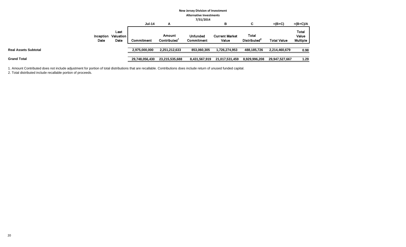|                             |                   |                                  |                   |                                    | <b>New Jersey Division of Investment</b> |                                |                                          |                    |                                          |  |  |  |
|-----------------------------|-------------------|----------------------------------|-------------------|------------------------------------|------------------------------------------|--------------------------------|------------------------------------------|--------------------|------------------------------------------|--|--|--|
|                             |                   |                                  |                   |                                    | <b>Alternative Investments</b>           |                                |                                          |                    |                                          |  |  |  |
|                             |                   | 7/31/2014                        |                   |                                    |                                          |                                |                                          |                    |                                          |  |  |  |
|                             |                   |                                  | <b>Jul-14</b>     | A                                  |                                          | в                              | С                                        | $=(B+C)$           | $=(B+C)/A$                               |  |  |  |
|                             | Inception<br>Date | Last<br><b>Valuation</b><br>Date | <b>Commitment</b> | Amount<br>Contributed <sup>1</sup> | <b>Unfunded</b><br>Commitment            | <b>Current Market</b><br>Value | <b>Total</b><br>Distributed <sup>2</sup> | <b>Total Value</b> | <b>Total</b><br>Value<br><b>Multiple</b> |  |  |  |
| <b>Real Assets Subtotal</b> |                   |                                  | 2,975,000,000     | 2,251,212,633                      | 853,060,305                              | 1,726,274,953                  | 488,185,726                              | 2,214,460,679      | 0.98                                     |  |  |  |
| <b>Grand Total</b>          |                   |                                  | 29,748,056,430    | 23,215,535,688                     | 8,431,567,919                            | 21,017,531,459                 | 8,929,996,208                            | 29,947,527,667     | 1.29                                     |  |  |  |

1. Amount Contributed does not include adjustment for portion of total distributions that are recallable. Contributions does include return of unused funded capital.

2. Total distributed include recallable portion of proceeds.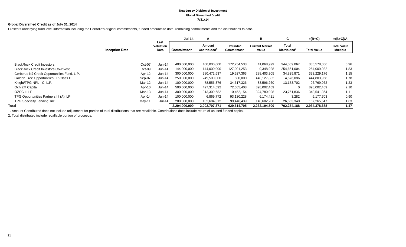#### **New Jersey Division of Investment Global Diversified Credit 7/31/14**

#### **Global Diversified Credit as of July 31, 2014**

Presents underlying fund level information including the Portfolio's original commitments, funded amounts to date, remaining commitments and the distributions to date.

|                                             |                       |                           | <b>Jul-14</b> | A                     |                               | в                              | C                                        | $=(B+C)$           | $=(B+C)/A$                     |
|---------------------------------------------|-----------------------|---------------------------|---------------|-----------------------|-------------------------------|--------------------------------|------------------------------------------|--------------------|--------------------------------|
|                                             | <b>Inception Date</b> | Last<br>Valuation<br>Date | Commitment    | Amount<br>Contributed | <b>Unfunded</b><br>Commitment | <b>Current Market</b><br>Value | <b>Total</b><br>Distributed <sup>2</sup> | <b>Total Value</b> | <b>Total Value</b><br>Multiple |
|                                             |                       |                           |               |                       |                               |                                |                                          |                    |                                |
| <b>BlackRock Credit Investors</b>           |                       | Oct-07<br>Jun-14          | 400.000.000   | 400,000,000           | 172,254,533                   | 41,068,999                     | 344.509.067                              | 385.578.066        | 0.96                           |
| <b>BlackRock Credit Investors Co-Invest</b> |                       | $Oct-09$<br>Jun-14        | 144,000,000   | 144,000,000           | 127,001,253                   | 9,348,928                      | 254,661,004                              | 264,009,932        | 1.83                           |
| Cerberus NJ Credit Opportunities Fund, L.P. |                       | Apr-12<br>$Jun-14$        | 300,000,000   | 280,472,637           | 19,527,363                    | 288,403,305                    | 34,825,871                               | 323,229,176        | 1.15                           |
| Golden Tree Opportunities LP-Class D        |                       | Sep-07<br>$Jun-14$        | 250,000,000   | 249,500,000           | 500,000                       | 440,127,882                    | 4,676,086                                | 444,803,968        | 1.78                           |
| Knight/TPG NPL - C, L.P.                    |                       | Mar-12<br>Jun-14          | 100,000,000   | 78,556,376            | 34,617,326                    | 83,596,260                     | 13,173,702                               | 96,769,962         | 1.23                           |
| Och Ziff Capital                            |                       | Apr-10<br>$Jun-14$        | 500,000,000   | 427,314,592           | 72,685,408                    | 898,002,469                    | $\Omega$                                 | 898,002,469        | 2.10                           |
| OZSC II, LP                                 |                       | Mar-13<br>$Jun-14$        | 300,000,000   | 313,309,682           | 10,452,154                    | 324,780,028                    | 23,761,836                               | 348,541,864        | 1.11                           |
| TPG Opportunities Partners III (A), LP      |                       | Apr-14<br>$Jun-14$        | 100,000,000   | 6,869,772             | 93,130,228                    | 6,174,421                      | 3,282                                    | 6,177,703          | 0.90                           |
| TPG Specialty Lending, Inc.                 |                       | Jul-14<br>May-11          | 200,000,000   | 102,684,312           | 99,446,439                    | 140,602,208                    | 26,663,340                               | 167,265,547        | 1.63                           |
| Total                                       |                       |                           | 2,294,000,000 | 2,002,707,371         | 629,614,705                   | 2,232,104,500                  | 702,274,188                              | 2,934,378,688      | 1.47                           |

1. Amount Contributed does not include adjustment for portion of total distributions that are recallable. Contributions does include return of unused funded capital.

2. Total distributed include recallable portion of proceeds.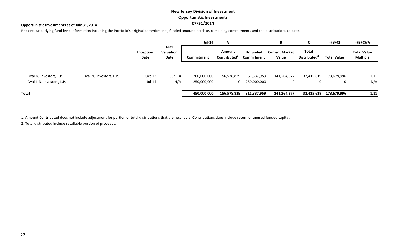# **New Jersey Division of Investment Opportunistic Investments 07/31/2014**

### **Opportunistic Investments as of July 31, 2014**

Presents underlying fund level information including the Portfolio's original commitments, funded amounts to date, remaining commitments and the distributions to date.

|                                                       |                         |                      |                           | <b>Jul-14</b>              | A                                  |                               | B                              |                                          | $=(B+C)$           | $=(B+C)/A$                            |
|-------------------------------------------------------|-------------------------|----------------------|---------------------------|----------------------------|------------------------------------|-------------------------------|--------------------------------|------------------------------------------|--------------------|---------------------------------------|
|                                                       |                         | Inception<br>Date    | Last<br>Valuation<br>Date | Commitment                 | Amount<br>Contributed <sup>1</sup> | <b>Unfunded</b><br>Commitment | <b>Current Market</b><br>Value | <b>Total</b><br>Distributed <sup>2</sup> | <b>Total Value</b> | <b>Total Value</b><br><b>Multiple</b> |
| Dyal NJ Investors, L.P.<br>Dyal II NJ Investors, L.P. | Dyal NJ Investors, L.P. | $Oct-12$<br>$Jul-14$ | $Jun-14$<br>N/A           | 200,000,000<br>250,000,000 | 156,578,829<br>0                   | 61,337,959<br>250,000,000     | 141,264,377<br>0               | 32,415,619<br>0                          | 173,679,996<br>0   | 1.11<br>N/A                           |
| <b>Total</b>                                          |                         |                      |                           | 450,000,000                | 156,578,829                        | 311,337,959                   | 141,264,377                    | 32,415,619                               | 173,679,996        | 1.11                                  |

1. Amount Contributed does not include adjustment for portion of total distributions that are recallable. Contributions does include return of unused funded capital.

2. Total distributed include recallable portion of proceeds.